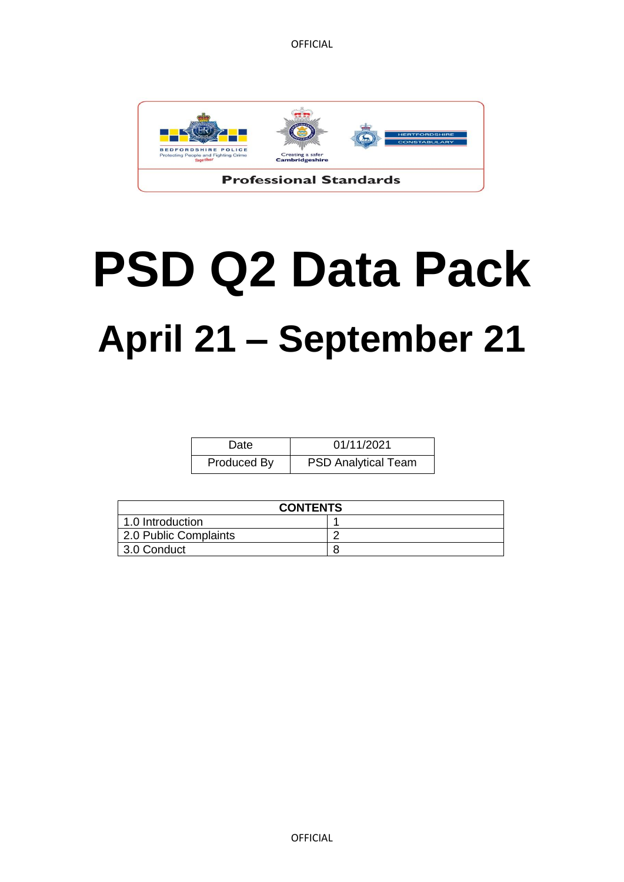

# **PSD Q2 Data Pack April 21 – September 21**

| Date        | 01/11/2021                 |
|-------------|----------------------------|
| Produced By | <b>PSD Analytical Team</b> |

| <b>CONTENTS</b>       |  |  |  |
|-----------------------|--|--|--|
| 1.0 Introduction      |  |  |  |
| 2.0 Public Complaints |  |  |  |
| 3.0 Conduct           |  |  |  |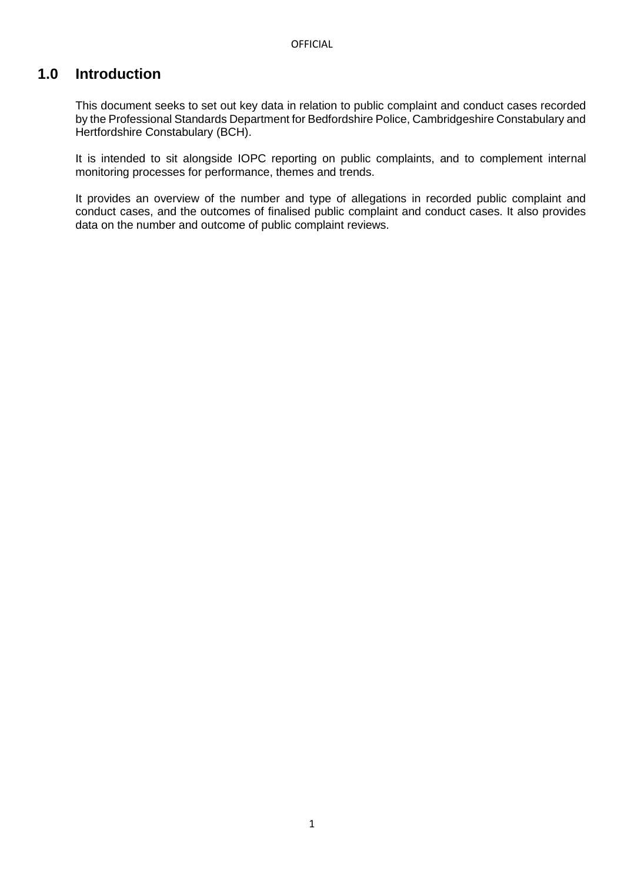## **1.0 Introduction**

This document seeks to set out key data in relation to public complaint and conduct cases recorded by the Professional Standards Department for Bedfordshire Police, Cambridgeshire Constabulary and Hertfordshire Constabulary (BCH).

It is intended to sit alongside IOPC reporting on public complaints, and to complement internal monitoring processes for performance, themes and trends.

It provides an overview of the number and type of allegations in recorded public complaint and conduct cases, and the outcomes of finalised public complaint and conduct cases. It also provides data on the number and outcome of public complaint reviews.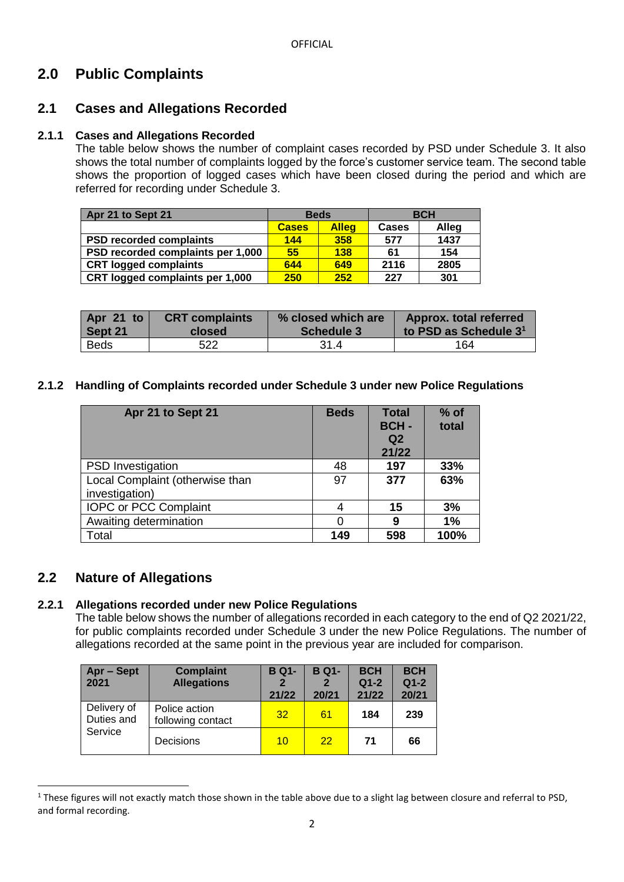# **2.0 Public Complaints**

## **2.1 Cases and Allegations Recorded**

## **2.1.1 Cases and Allegations Recorded**

The table below shows the number of complaint cases recorded by PSD under Schedule 3. It also shows the total number of complaints logged by the force's customer service team. The second table shows the proportion of logged cases which have been closed during the period and which are referred for recording under Schedule 3.

| Apr 21 to Sept 21                 | <b>Beds</b>  |              | <b>BCH</b>   |       |
|-----------------------------------|--------------|--------------|--------------|-------|
|                                   | <b>Cases</b> | <b>Alleg</b> | <b>Cases</b> | Alleg |
| <b>PSD recorded complaints</b>    | 144          | 358          | 577          | 1437  |
| PSD recorded complaints per 1,000 | 55           | <b>138</b>   | 61           | 154   |
| <b>CRT logged complaints</b>      | 644          | 649          | 2116         | 2805  |
| CRT logged complaints per 1,000   | 250          | 252          | 227          | 301   |

| Apr 21 to   | <b>CRT</b> complaints | % closed which are | Approx. total referred            |
|-------------|-----------------------|--------------------|-----------------------------------|
| Sept 21     | closed                | Schedule 3         | to PSD as Schedule 3 <sup>1</sup> |
| <b>Beds</b> | 522                   | 31.4               | 164                               |

## **2.1.2 Handling of Complaints recorded under Schedule 3 under new Police Regulations**

| Apr 21 to Sept 21               | <b>Beds</b> | <b>Total</b><br><b>BCH-</b><br>Q <sub>2</sub><br>21/22 | $%$ of<br>total |
|---------------------------------|-------------|--------------------------------------------------------|-----------------|
| <b>PSD</b> Investigation        | 48          | 197                                                    | 33%             |
| Local Complaint (otherwise than | 97          | 377                                                    | 63%             |
| investigation)                  |             |                                                        |                 |
| <b>IOPC or PCC Complaint</b>    | 4           | 15                                                     | 3%              |
| Awaiting determination          | 0           | 9                                                      | 1%              |
| Total                           | 149         | 598                                                    | 100%            |

## **2.2 Nature of Allegations**

**.** 

## **2.2.1 Allegations recorded under new Police Regulations**

The table below shows the number of allegations recorded in each category to the end of Q2 2021/22, for public complaints recorded under Schedule 3 under the new Police Regulations. The number of allegations recorded at the same point in the previous year are included for comparison.

| Apr - Sept<br>2021        | <b>Complaint</b><br><b>Allegations</b> | <b>B Q1-</b><br>$\mathbf{2}$<br>21/22 | <b>B Q1-</b><br>20/21 | <b>BCH</b><br>$Q1-2$<br>21/22 | <b>BCH</b><br>$Q1-2$<br>20/21 |
|---------------------------|----------------------------------------|---------------------------------------|-----------------------|-------------------------------|-------------------------------|
| Delivery of<br>Duties and | Police action<br>following contact     | 32                                    | 61                    | 184                           | 239                           |
| Service                   | <b>Decisions</b>                       | 10                                    | 22                    | 71                            | 66                            |

<sup>&</sup>lt;sup>1</sup> These figures will not exactly match those shown in the table above due to a slight lag between closure and referral to PSD, and formal recording.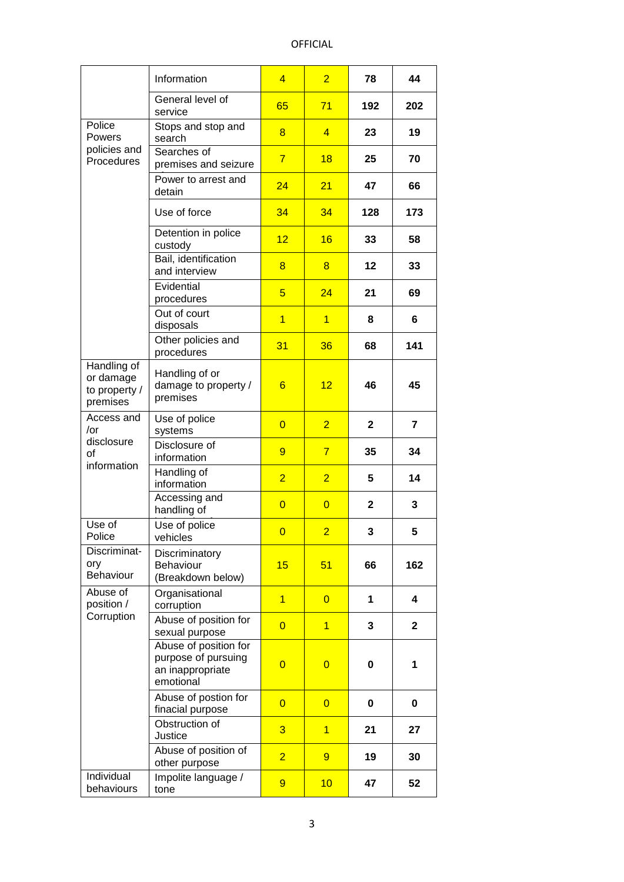## OFFICIAL

|                                                       | Information                                                                   | $\overline{4}$  | $\overline{2}$ | 78           | 44           |
|-------------------------------------------------------|-------------------------------------------------------------------------------|-----------------|----------------|--------------|--------------|
|                                                       | General level of<br>service                                                   | 65              | 71             | 192          | 202          |
| Police<br><b>Powers</b>                               | Stops and stop and<br>search                                                  | 8               | $\overline{4}$ | 23           | 19           |
| policies and<br>Procedures                            | Searches of<br>premises and seizure                                           | $\overline{7}$  | 18             | 25           | 70           |
|                                                       | Power to arrest and<br>detain                                                 | 24              | 21             | 47           | 66           |
|                                                       | Use of force                                                                  | 34              | 34             | 128          | 173          |
|                                                       | Detention in police<br>custody                                                | 12              | 16             | 33           | 58           |
|                                                       | Bail, identification<br>and interview                                         | 8               | 8              | 12           | 33           |
|                                                       | Evidential<br>procedures                                                      | 5               | 24             | 21           | 69           |
|                                                       | Out of court<br>disposals                                                     | $\overline{1}$  | $\overline{1}$ | 8            | 6            |
|                                                       | Other policies and<br>procedures                                              | 31              | 36             | 68           | 141          |
| Handling of<br>or damage<br>to property /<br>premises | Handling of or<br>damage to property /<br>premises                            | $6\overline{6}$ | 12             | 46           | 45           |
| Access and<br>/or<br>disclosure<br>of<br>information  | Use of police<br>systems                                                      | $\overline{0}$  | $\overline{2}$ | $\mathbf{2}$ | 7            |
|                                                       | Disclosure of<br>information                                                  | 9               | $\overline{7}$ | 35           | 34           |
|                                                       | Handling of<br>information                                                    | $\overline{2}$  | $\overline{2}$ | 5            | 14           |
|                                                       | Accessing and<br>handling of                                                  | $\overline{0}$  | $\overline{0}$ | $\mathbf{2}$ | 3            |
| Use of<br>Police                                      | Use of police<br>vehicles                                                     | $\overline{0}$  | $\overline{2}$ | 3            | 5            |
| Discriminat-<br>ory<br>Behaviour                      | Discriminatory<br>Behaviour<br>(Breakdown below)                              | 15              | 51             | 66           | 162          |
| Abuse of<br>position /                                | Organisational<br>corruption                                                  | $\overline{1}$  | $\overline{0}$ | 1            | 4            |
| Corruption                                            | Abuse of position for<br>sexual purpose                                       | $\overline{0}$  | $\overline{1}$ | 3            | $\mathbf{2}$ |
|                                                       | Abuse of position for<br>purpose of pursuing<br>an inappropriate<br>emotional | $\overline{0}$  | $\overline{0}$ | 0            | 1            |
|                                                       | Abuse of postion for<br>finacial purpose                                      | $\overline{0}$  | $\overline{0}$ | 0            | 0            |
|                                                       | Obstruction of<br>Justice                                                     | 3               | $\overline{1}$ | 21           | 27           |
|                                                       | Abuse of position of<br>other purpose                                         | $\overline{2}$  | $\overline{9}$ | 19           | 30           |
| Individual<br>behaviours                              | Impolite language /<br>tone                                                   | 9               | 10             | 47           | 52           |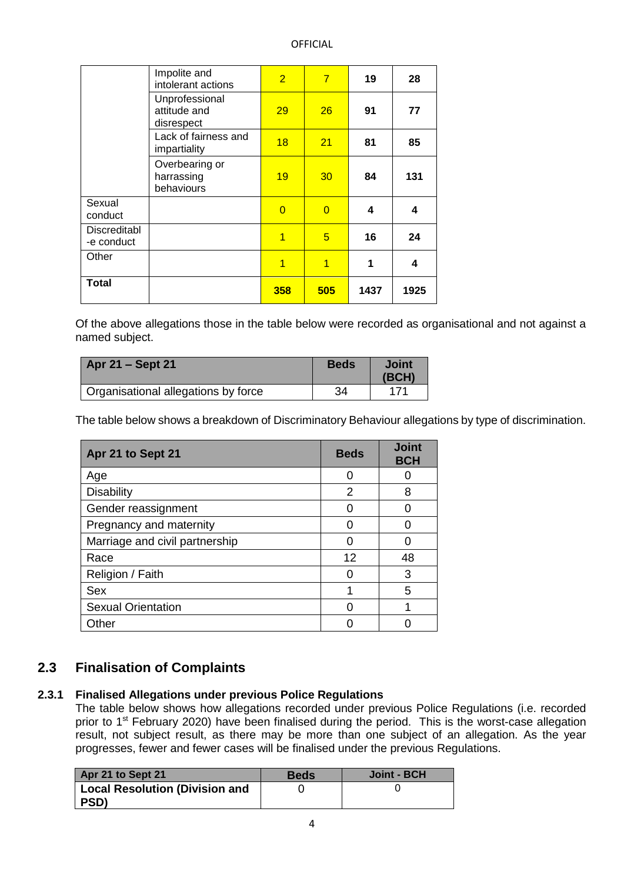#### OFFICIAL

|                            | Impolite and<br>intolerant actions           | $\overline{2}$ | $\overline{7}$ | 19   | 28   |
|----------------------------|----------------------------------------------|----------------|----------------|------|------|
|                            | Unprofessional<br>attitude and<br>disrespect | 29             | 26             | 91   | 77   |
|                            | Lack of fairness and<br>impartiality         | 18             | 21             | 81   | 85   |
|                            | Overbearing or<br>harrassing<br>behaviours   | 19             | 30             | 84   | 131  |
| Sexual<br>conduct          |                                              | $\overline{0}$ | $\Omega$       | 4    | 4    |
| Discreditabl<br>-e conduct |                                              | 1              | 5              | 16   | 24   |
| Other                      |                                              | $\overline{1}$ | $\overline{1}$ | 1    | 4    |
| Total                      |                                              | 358            | 505            | 1437 | 1925 |

Of the above allegations those in the table below were recorded as organisational and not against a named subject.

| <b>Apr 21 – Sept 21</b>             | <b>Beds</b> | <b>Joint</b><br>(BCH) |
|-------------------------------------|-------------|-----------------------|
| Organisational allegations by force | 34          |                       |

The table below shows a breakdown of Discriminatory Behaviour allegations by type of discrimination.

| Apr 21 to Sept 21              | <b>Beds</b> | <b>Joint</b><br><b>BCH</b> |
|--------------------------------|-------------|----------------------------|
| Age                            | Ω           |                            |
| <b>Disability</b>              | 2           | 8                          |
| Gender reassignment            |             |                            |
| Pregnancy and maternity        |             |                            |
| Marriage and civil partnership | Ω           | O                          |
| Race                           | 12          | 48                         |
| Religion / Faith               |             | 3                          |
| Sex                            |             | 5                          |
| <b>Sexual Orientation</b>      |             |                            |
| Other                          |             |                            |

## **2.3 Finalisation of Complaints**

#### **2.3.1 Finalised Allegations under previous Police Regulations**

The table below shows how allegations recorded under previous Police Regulations (i.e. recorded prior to 1<sup>st</sup> February 2020) have been finalised during the period. This is the worst-case allegation result, not subject result, as there may be more than one subject of an allegation. As the year progresses, fewer and fewer cases will be finalised under the previous Regulations.

| Apr 21 to Sept 21                     | <b>Beds</b> | Joint - BCH |
|---------------------------------------|-------------|-------------|
| <b>Local Resolution (Division and</b> |             |             |
| PSD)                                  |             |             |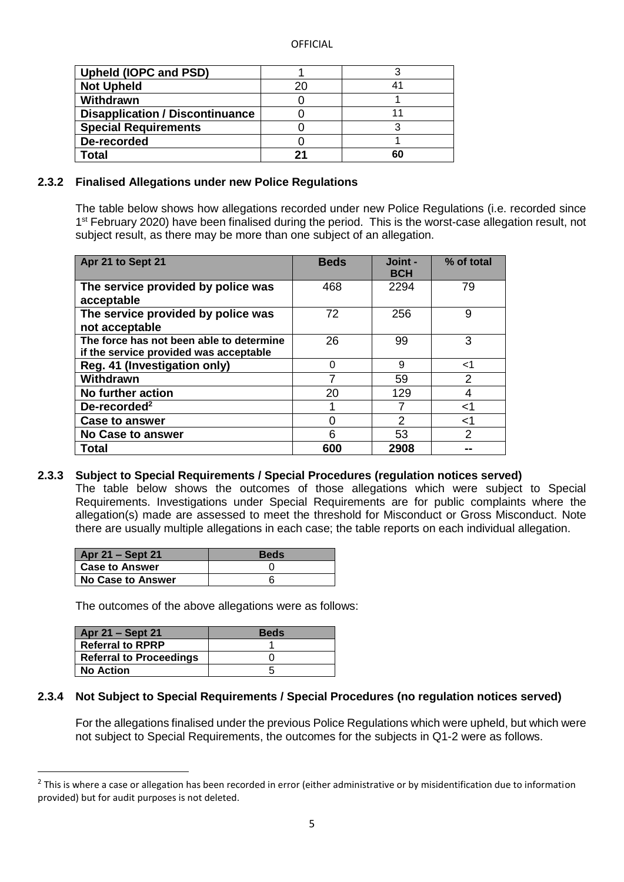| <b>Upheld (IOPC and PSD)</b>           |    |    |
|----------------------------------------|----|----|
| <b>Not Upheld</b>                      | 20 |    |
| Withdrawn                              |    |    |
| <b>Disapplication / Discontinuance</b> |    |    |
| <b>Special Requirements</b>            |    |    |
| De-recorded                            |    |    |
| Total                                  | つっ | 60 |

#### **2.3.2 Finalised Allegations under new Police Regulations**

The table below shows how allegations recorded under new Police Regulations (i.e. recorded since 1<sup>st</sup> February 2020) have been finalised during the period. This is the worst-case allegation result, not subject result, as there may be more than one subject of an allegation.

| Apr 21 to Sept 21                                                                  | <b>Beds</b> | Joint -<br><b>BCH</b> | % of total    |
|------------------------------------------------------------------------------------|-------------|-----------------------|---------------|
| The service provided by police was<br>acceptable                                   | 468         | 2294                  | 79            |
| The service provided by police was<br>not acceptable                               | 72          | 256                   | 9             |
| The force has not been able to determine<br>if the service provided was acceptable | 26          | 99                    | 3             |
| Reg. 41 (Investigation only)                                                       | 0           | 9                     | <1            |
| Withdrawn                                                                          |             | 59                    | $\mathcal{P}$ |
| No further action                                                                  | 20          | 129                   | 4             |
| De-recorded <sup>2</sup>                                                           |             |                       | ا>            |
| <b>Case to answer</b>                                                              | 0           | 2                     | ا>            |
| <b>No Case to answer</b>                                                           | 6           | 53                    | $\mathcal{P}$ |
| <b>Total</b>                                                                       | 600         | 2908                  | --            |

#### **2.3.3 Subject to Special Requirements / Special Procedures (regulation notices served)** The table below shows the outcomes of those allegations which were subject to Special Requirements. Investigations under Special Requirements are for public complaints where the allegation(s) made are assessed to meet the threshold for Misconduct or Gross Misconduct. Note there are usually multiple allegations in each case; the table reports on each individual allegation.

| Apr 21 – Sept 21      | <b>Beds</b> |
|-----------------------|-------------|
| <b>Case to Answer</b> |             |
| No Case to Answer     |             |

The outcomes of the above allegations were as follows:

| Apr 21 - Sept 21               | <b>Beds</b> |
|--------------------------------|-------------|
| <b>Referral to RPRP</b>        |             |
| <b>Referral to Proceedings</b> |             |
| <b>No Action</b>               |             |

**.** 

#### **2.3.4 Not Subject to Special Requirements / Special Procedures (no regulation notices served)**

For the allegations finalised under the previous Police Regulations which were upheld, but which were not subject to Special Requirements, the outcomes for the subjects in Q1-2 were as follows.

 $2$  This is where a case or allegation has been recorded in error (either administrative or by misidentification due to information provided) but for audit purposes is not deleted.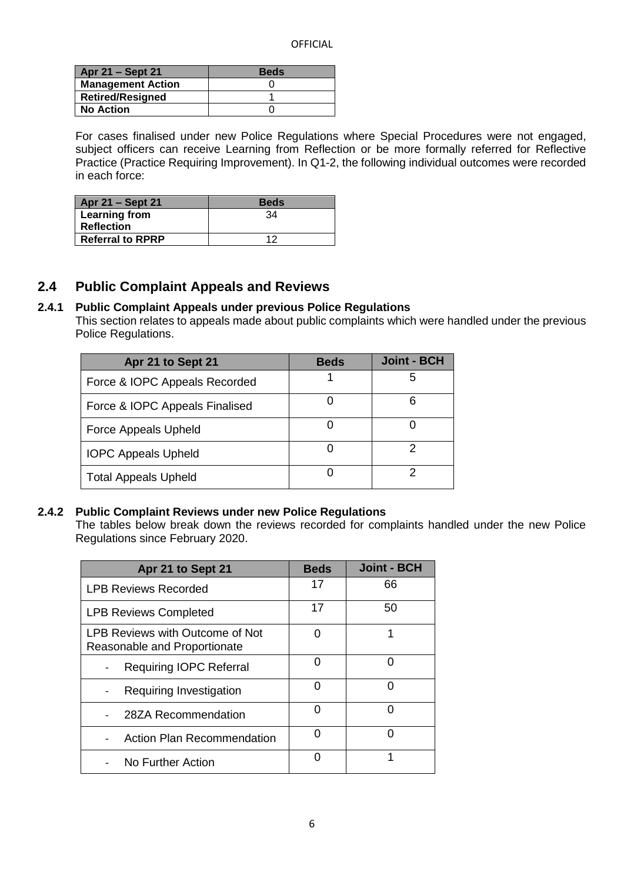| Apr 21 – Sept 21         | <b>Beds</b> |
|--------------------------|-------------|
| <b>Management Action</b> |             |
| <b>Retired/Resigned</b>  |             |
| <b>No Action</b>         |             |

For cases finalised under new Police Regulations where Special Procedures were not engaged, subject officers can receive Learning from Reflection or be more formally referred for Reflective Practice (Practice Requiring Improvement). In Q1-2, the following individual outcomes were recorded in each force:

| Apr 21 – Sept 21        | <b>Beds</b> |
|-------------------------|-------------|
| Learning from           | 34          |
| <b>Reflection</b>       |             |
| <b>Referral to RPRP</b> | ィク          |

## **2.4 Public Complaint Appeals and Reviews**

## **2.4.1 Public Complaint Appeals under previous Police Regulations**

This section relates to appeals made about public complaints which were handled under the previous Police Regulations.

| Apr 21 to Sept 21              | <b>Beds</b> | <b>Joint - BCH</b> |
|--------------------------------|-------------|--------------------|
| Force & IOPC Appeals Recorded  |             | 5                  |
| Force & IOPC Appeals Finalised |             | 6                  |
| <b>Force Appeals Upheld</b>    |             |                    |
| <b>IOPC Appeals Upheld</b>     |             | 2                  |
| <b>Total Appeals Upheld</b>    |             | 2                  |

#### **2.4.2 Public Complaint Reviews under new Police Regulations**

The tables below break down the reviews recorded for complaints handled under the new Police Regulations since February 2020.

| Apr 21 to Sept 21                                               | <b>Beds</b> | <b>Joint - BCH</b> |
|-----------------------------------------------------------------|-------------|--------------------|
| <b>LPB Reviews Recorded</b>                                     | 17          | 66                 |
| <b>LPB Reviews Completed</b>                                    | 17          | 50                 |
| LPB Reviews with Outcome of Not<br>Reasonable and Proportionate | U           | 1                  |
| <b>Requiring IOPC Referral</b>                                  | U           |                    |
| Requiring Investigation                                         | O           |                    |
| 28ZA Recommendation                                             | ŋ           |                    |
| <b>Action Plan Recommendation</b>                               | ŋ           |                    |
| No Further Action                                               | O           | 1                  |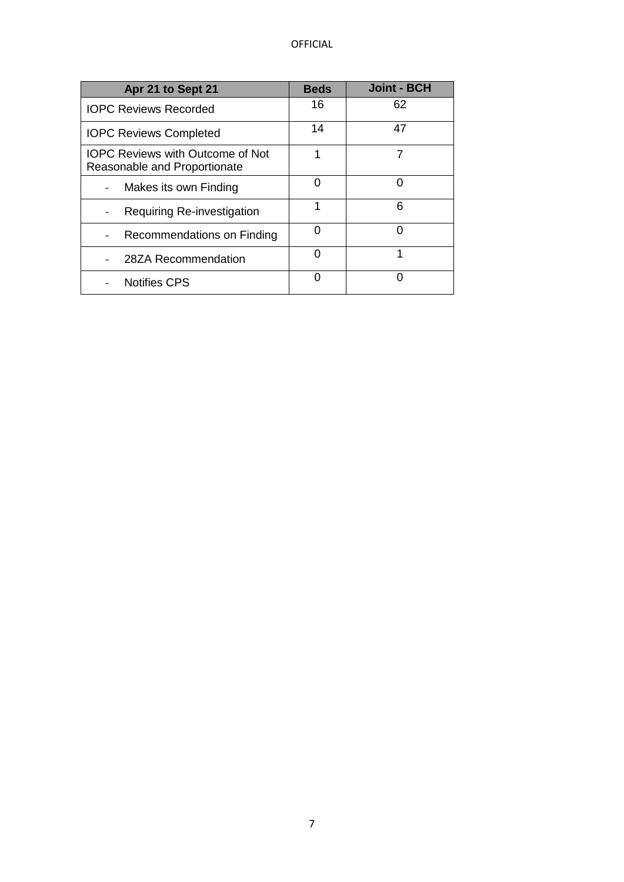| Apr 21 to Sept 21                                                       | <b>Beds</b> | <b>Joint - BCH</b> |
|-------------------------------------------------------------------------|-------------|--------------------|
| <b>IOPC Reviews Recorded</b>                                            | 16          | 62                 |
| <b>IOPC Reviews Completed</b>                                           | 14          | 47                 |
| <b>IOPC Reviews with Outcome of Not</b><br>Reasonable and Proportionate | 1           |                    |
| Makes its own Finding<br>$\overline{\phantom{a}}$                       | O           | O                  |
| <b>Requiring Re-investigation</b>                                       | 1           | 6                  |
| Recommendations on Finding<br>$\overline{\phantom{a}}$                  |             | U                  |
| 28ZA Recommendation                                                     | 0           | 1                  |
| <b>Notifies CPS</b>                                                     |             |                    |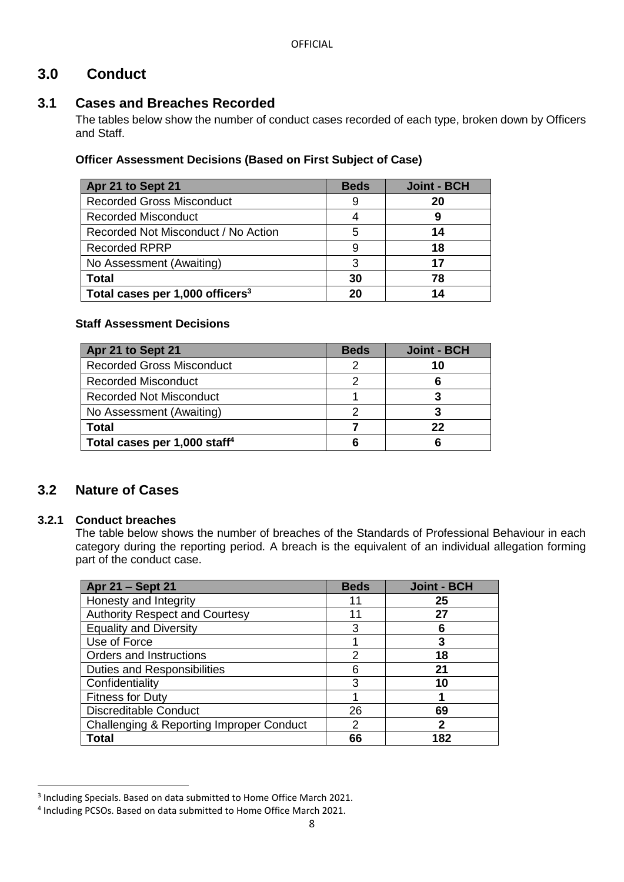## **3.0 Conduct**

## **3.1 Cases and Breaches Recorded**

The tables below show the number of conduct cases recorded of each type, broken down by Officers and Staff.

## **Officer Assessment Decisions (Based on First Subject of Case)**

| Apr 21 to Sept 21                   | <b>Beds</b> | <b>Joint - BCH</b> |
|-------------------------------------|-------------|--------------------|
| <b>Recorded Gross Misconduct</b>    | 9           | 20                 |
| <b>Recorded Misconduct</b>          |             |                    |
| Recorded Not Misconduct / No Action | 5           | 14                 |
| <b>Recorded RPRP</b>                | 9           | 18                 |
| No Assessment (Awaiting)            | 3           | 17                 |
| <b>Total</b>                        | 30          | 78                 |
| Total cases per 1,000 officers $3$  | 20          |                    |

## **Staff Assessment Decisions**

| Apr 21 to Sept 21                        | <b>Beds</b> | <b>Joint - BCH</b> |
|------------------------------------------|-------------|--------------------|
| <b>Recorded Gross Misconduct</b>         |             | 10                 |
| Recorded Misconduct                      |             |                    |
| <b>Recorded Not Misconduct</b>           |             |                    |
| No Assessment (Awaiting)                 |             |                    |
| <b>Total</b>                             |             | 22                 |
| Total cases per 1,000 staff <sup>4</sup> |             |                    |

## **3.2 Nature of Cases**

## **3.2.1 Conduct breaches**

**.** 

The table below shows the number of breaches of the Standards of Professional Behaviour in each category during the reporting period. A breach is the equivalent of an individual allegation forming part of the conduct case.

| Apr 21 - Sept 21                         | <b>Beds</b> | <b>Joint - BCH</b> |
|------------------------------------------|-------------|--------------------|
| Honesty and Integrity                    | 11          | 25                 |
| <b>Authority Respect and Courtesy</b>    | 11          | 27                 |
| <b>Equality and Diversity</b>            | 3           | 6                  |
| Use of Force                             |             | 3                  |
| Orders and Instructions                  | 2           | 18                 |
| <b>Duties and Responsibilities</b>       |             | 21                 |
| Confidentiality                          | З           | 10                 |
| <b>Fitness for Duty</b>                  |             |                    |
| <b>Discreditable Conduct</b>             | 26          | 69                 |
| Challenging & Reporting Improper Conduct | 2           | $\mathbf 2$        |
| Total                                    | 66          | 182                |

<sup>&</sup>lt;sup>3</sup> Including Specials. Based on data submitted to Home Office March 2021.

<sup>4</sup> Including PCSOs. Based on data submitted to Home Office March 2021.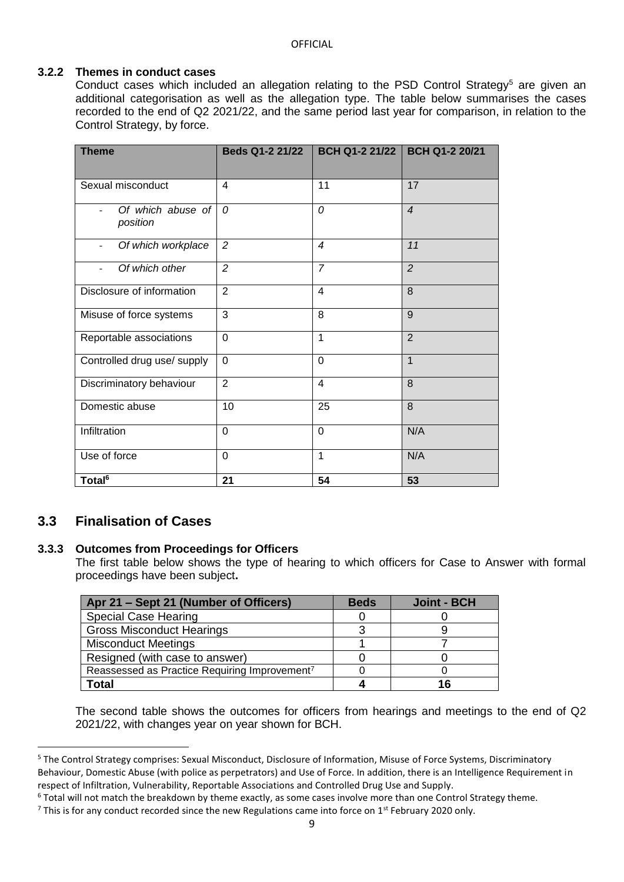## **3.2.2 Themes in conduct cases**

Conduct cases which included an allegation relating to the PSD Control Strategy<sup>5</sup> are given an additional categorisation as well as the allegation type. The table below summarises the cases recorded to the end of Q2 2021/22, and the same period last year for comparison, in relation to the Control Strategy, by force.

| <b>Theme</b>                                   | <b>Beds Q1-2 21/22</b> | BCH Q1-2 21/22 | <b>BCH Q1-2 20/21</b> |
|------------------------------------------------|------------------------|----------------|-----------------------|
| Sexual misconduct                              | 4                      | 11             | 17                    |
| Of which abuse of<br>position                  | $\Omega$               | 0              | $\overline{4}$        |
| Of which workplace<br>$\overline{\phantom{a}}$ | $\overline{c}$         | $\overline{4}$ | 11                    |
| Of which other                                 | $\overline{2}$         | $\overline{7}$ | $\overline{2}$        |
| Disclosure of information                      | $\overline{2}$         | $\overline{4}$ | 8                     |
| Misuse of force systems                        | 3                      | 8              | 9                     |
| Reportable associations                        | $\overline{0}$         | 1              | $\overline{2}$        |
| Controlled drug use/ supply                    | $\Omega$               | $\Omega$       | $\mathbf 1$           |
| Discriminatory behaviour                       | $\overline{2}$         | $\overline{4}$ | 8                     |
| Domestic abuse                                 | 10                     | 25             | 8                     |
| Infiltration                                   | $\Omega$               | $\Omega$       | N/A                   |
| Use of force                                   | $\Omega$               | $\mathbf 1$    | N/A                   |
| Total <sup>6</sup>                             | 21                     | 54             | 53                    |

## **3.3 Finalisation of Cases**

**.** 

#### **3.3.3 Outcomes from Proceedings for Officers**

The first table below shows the type of hearing to which officers for Case to Answer with formal proceedings have been subject**.**

| Apr 21 – Sept 21 (Number of Officers)                     | <b>Beds</b> | <b>Joint - BCH</b> |
|-----------------------------------------------------------|-------------|--------------------|
| <b>Special Case Hearing</b>                               |             |                    |
| <b>Gross Misconduct Hearings</b>                          |             |                    |
| <b>Misconduct Meetings</b>                                |             |                    |
| Resigned (with case to answer)                            |             |                    |
| Reassessed as Practice Requiring Improvement <sup>7</sup> |             |                    |
| Total                                                     |             | 16                 |

The second table shows the outcomes for officers from hearings and meetings to the end of Q2 2021/22, with changes year on year shown for BCH.

<sup>5</sup> The Control Strategy comprises: Sexual Misconduct, Disclosure of Information, Misuse of Force Systems, Discriminatory Behaviour, Domestic Abuse (with police as perpetrators) and Use of Force. In addition, there is an Intelligence Requirement in respect of Infiltration, Vulnerability, Reportable Associations and Controlled Drug Use and Supply.

<sup>&</sup>lt;sup>6</sup> Total will not match the breakdown by theme exactly, as some cases involve more than one Control Strategy theme.

<sup>&</sup>lt;sup>7</sup> This is for any conduct recorded since the new Regulations came into force on 1<sup>st</sup> February 2020 only.